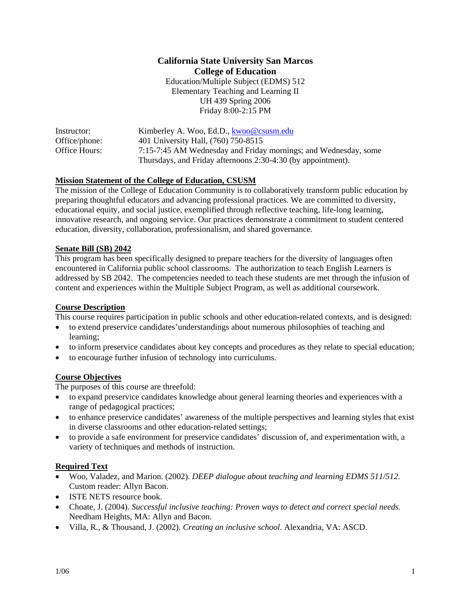# **California State University San Marcos College of Education**

Education/Multiple Subject (EDMS) 512 Elementary Teaching and Learning II UH 439 Spring 2006 Friday 8:00-2:15 PM

| Instructor:   | Kimberley A. Woo, Ed.D., kwoo@csusm.edu                         |
|---------------|-----------------------------------------------------------------|
| Office/phone: | 401 University Hall, (760) 750-8515                             |
| Office Hours: | 7:15-7:45 AM Wednesday and Friday mornings; and Wednesday, some |
|               | Thursdays, and Friday afternoons 2:30-4:30 (by appointment).    |

# **Mission Statement of the College of Education, CSUSM**

The mission of the College of Education Community is to collaboratively transform public education by preparing thoughtful educators and advancing professional practices. We are committed to diversity, educational equity, and social justice, exemplified through reflective teaching, life-long learning, innovative research, and ongoing service. Our practices demonstrate a commitment to student centered education, diversity, collaboration, professionalism, and shared governance.

### **Senate Bill (SB) 2042**

This program has been specifically designed to prepare teachers for the diversity of languages often encountered in California public school classrooms. The authorization to teach English Learners is addressed by SB 2042. The competencies needed to teach these students are met through the infusion of content and experiences within the Multiple Subject Program, as well as additional coursework.

### **Course Description**

This course requires participation in public schools and other education-related contexts, and is designed:

- to extend preservice candidates'understandings about numerous philosophies of teaching and learning;
- to inform preservice candidates about key concepts and procedures as they relate to special education;
- to encourage further infusion of technology into curriculums.

# **Course Objectives**

The purposes of this course are threefold:

- to expand preservice candidates knowledge about general learning theories and experiences with a range of pedagogical practices;
- to enhance preservice candidates' awareness of the multiple perspectives and learning styles that exist in diverse classrooms and other education-related settings;
- to provide a safe environment for preservice candidates' discussion of, and experimentation with, a variety of techniques and methods of instruction.

### **Required Text**

- Woo, Valadez, and Marion. (2002). *DEEP dialogue about teaching and learning EDMS 511/512.* Custom reader: Allyn Bacon.
- ISTE NETS resource book.
- Choate, J. (2004). *Successful inclusive teaching: Proven ways to detect and correct special needs.* Needham Heights, MA: Allyn and Bacon.
- Villa, R., & Thousand, J. (2002). *Creating an inclusive school.* Alexandria, VA: ASCD.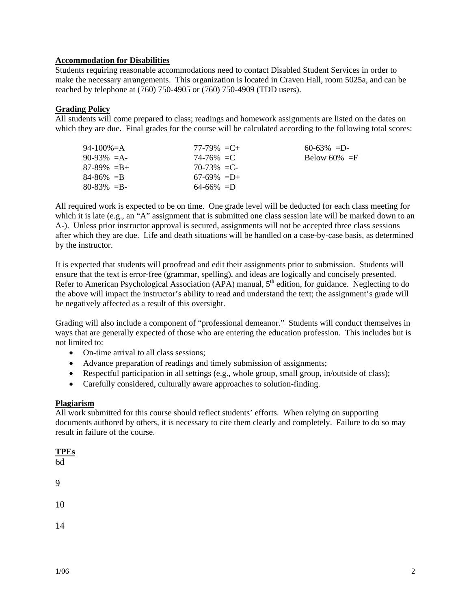## **Accommodation for Disabilities**

Students requiring reasonable accommodations need to contact Disabled Student Services in order to make the necessary arrangements. This organization is located in Craven Hall, room 5025a, and can be reached by telephone at (760) 750-4905 or (760) 750-4909 (TDD users).

### **Grading Policy**

All students will come prepared to class; readings and homework assignments are listed on the dates on which they are due. Final grades for the course will be calculated according to the following total scores:

| 94-100%=A       | $77-79\% = C +$ | $60-63\% = D$   |
|-----------------|-----------------|-----------------|
| $90-93\% = A$   | $74 - 76\% = C$ | Below 60% $=$ F |
| $87-89\% = B +$ | $70-73\% = C$   |                 |
| $84 - 86\% = B$ | $67-69\% = D+$  |                 |
| $80 - 83\% = B$ | $64-66\% = D$   |                 |

All required work is expected to be on time. One grade level will be deducted for each class meeting for which it is late (e.g., an "A" assignment that is submitted one class session late will be marked down to an A-). Unless prior instructor approval is secured, assignments will not be accepted three class sessions after which they are due. Life and death situations will be handled on a case-by-case basis, as determined by the instructor.

It is expected that students will proofread and edit their assignments prior to submission. Students will ensure that the text is error-free (grammar, spelling), and ideas are logically and concisely presented. Refer to American Psychological Association (APA) manual, 5<sup>th</sup> edition, for guidance. Neglecting to do the above will impact the instructor's ability to read and understand the text; the assignment's grade will be negatively affected as a result of this oversight.

Grading will also include a component of "professional demeanor." Students will conduct themselves in ways that are generally expected of those who are entering the education profession. This includes but is not limited to:

- On-time arrival to all class sessions;
- Advance preparation of readings and timely submission of assignments;
- Respectful participation in all settings (e.g., whole group, small group, in/outside of class);
- Carefully considered, culturally aware approaches to solution-finding.

### **Plagiarism**

All work submitted for this course should reflect students' efforts. When relying on supporting documents authored by others, it is necessary to cite them clearly and completely. Failure to do so may result in failure of the course.

| <b>TPEs</b><br>6d |  |
|-------------------|--|
| 9                 |  |
| 10                |  |
| 14                |  |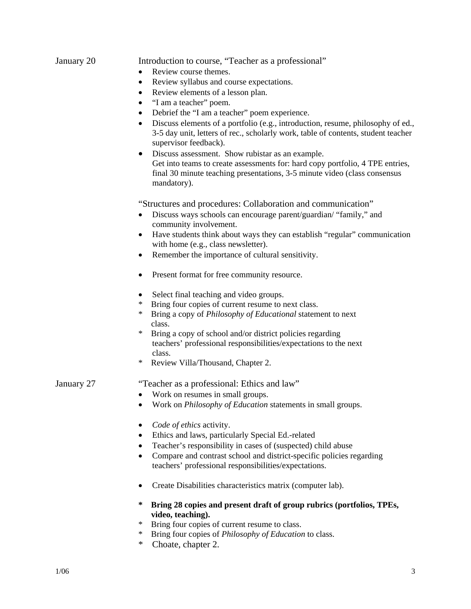# January 20 Introduction to course, "Teacher as a professional"

- Review course themes.
- Review syllabus and course expectations.
- Review elements of a lesson plan.
- "I am a teacher" poem.
- Debrief the "I am a teacher" poem experience.
- Discuss elements of a portfolio (e.g., introduction, resume, philosophy of ed., 3-5 day unit, letters of rec., scholarly work, table of contents, student teacher supervisor feedback).
- Discuss assessment. Show rubistar as an example. Get into teams to create assessments for: hard copy portfolio, 4 TPE entries, final 30 minute teaching presentations, 3-5 minute video (class consensus mandatory).

"Structures and procedures: Collaboration and communication"

- Discuss ways schools can encourage parent/guardian/ "family," and community involvement.
- Have students think about ways they can establish "regular" communication with home (e.g., class newsletter).
- Remember the importance of cultural sensitivity.
- Present format for free community resource.
- Select final teaching and video groups.
- Bring four copies of current resume to next class.
- \* Bring a copy of *Philosophy of Educational* statement to next class.
- \* Bring a copy of school and/or district policies regarding teachers' professional responsibilities/expectations to the next class.
- Review Villa/Thousand, Chapter 2.

### January 27 "Teacher as a professional: Ethics and law"

- Work on resumes in small groups.
- Work on *Philosophy of Education* statements in small groups.
- *Code of ethics* activity.
- Ethics and laws, particularly Special Ed.-related
- Teacher's responsibility in cases of (suspected) child abuse
- Compare and contrast school and district-specific policies regarding teachers' professional responsibilities/expectations.
- Create Disabilities characteristics matrix (computer lab).
- **\* Bring 28 copies and present draft of group rubrics (portfolios, TPEs, video, teaching).**
- \* Bring four copies of current resume to class.
- \* Bring four copies of *Philosophy of Education* to class.
- \* Choate, chapter 2.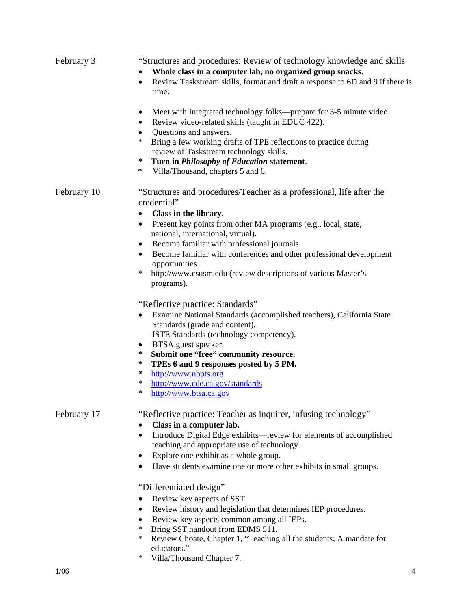| February 3  | "Structures and procedures: Review of technology knowledge and skills<br>Whole class in a computer lab, no organized group snacks.<br>$\bullet$<br>Review Taskstream skills, format and draft a response to 6D and 9 if there is<br>$\bullet$<br>time.                                                                                                                                                                                                                                                                                                                                                                                                                                                                   |  |  |
|-------------|--------------------------------------------------------------------------------------------------------------------------------------------------------------------------------------------------------------------------------------------------------------------------------------------------------------------------------------------------------------------------------------------------------------------------------------------------------------------------------------------------------------------------------------------------------------------------------------------------------------------------------------------------------------------------------------------------------------------------|--|--|
|             | Meet with Integrated technology folks—prepare for 3-5 minute video.<br>٠<br>Review video-related skills (taught in EDUC 422).<br>$\bullet$<br>Questions and answers.<br>$\bullet$<br>$\ast$<br>Bring a few working drafts of TPE reflections to practice during<br>review of Taskstream technology skills.<br>∗<br>Turn in Philosophy of Education statement.<br>$\ast$<br>Villa/Thousand, chapters 5 and 6.                                                                                                                                                                                                                                                                                                             |  |  |
| February 10 | "Structures and procedures/Teacher as a professional, life after the<br>credential"<br>Class in the library.<br>٠<br>Present key points from other MA programs (e.g., local, state,<br>٠<br>national, international, virtual).<br>Become familiar with professional journals.<br>٠<br>Become familiar with conferences and other professional development<br>$\bullet$<br>opportunities.<br>$\ast$<br>http://www.csusm.edu (review descriptions of various Master's<br>programs).                                                                                                                                                                                                                                        |  |  |
|             | "Reflective practice: Standards"<br>Examine National Standards (accomplished teachers), California State<br>٠<br>Standards (grade and content),<br>ISTE Standards (technology competency).<br>BTSA guest speaker.<br>٠<br>Submit one "free" community resource.<br>∗<br>∗<br>TPEs 6 and 9 responses posted by 5 PM.<br>∗<br>http://www.nbpts.org<br>$\ast$<br>http://www.cde.ca.gov/standards<br>$\ast$<br>http://www.btsa.ca.gov                                                                                                                                                                                                                                                                                        |  |  |
| February 17 | "Reflective practice: Teacher as inquirer, infusing technology"<br>Class in a computer lab.<br>Introduce Digital Edge exhibits-review for elements of accomplished<br>٠<br>teaching and appropriate use of technology.<br>Explore one exhibit as a whole group.<br>$\bullet$<br>Have students examine one or more other exhibits in small groups.<br>"Differentiated design"<br>Review key aspects of SST.<br>Review history and legislation that determines IEP procedures.<br>٠<br>Review key aspects common among all IEPs.<br>٠<br>Bring SST handout from EDMS 511.<br>$\ast$<br>$\ast$<br>Review Choate, Chapter 1, "Teaching all the students; A mandate for<br>educators."<br>$\ast$<br>Villa/Thousand Chapter 7. |  |  |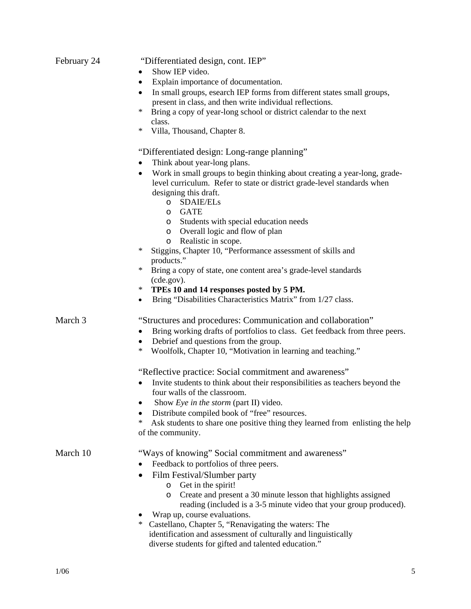| February 24 | "Differentiated design, cont. IEP"<br>Show IEP video.<br>Explain importance of documentation.<br>$\bullet$<br>In small groups, esearch IEP forms from different states small groups,<br>$\bullet$<br>present in class, and then write individual reflections.<br>∗<br>Bring a copy of year-long school or district calendar to the next<br>class.<br>∗<br>Villa, Thousand, Chapter 8.                                                                                                                                                       |  |  |
|-------------|---------------------------------------------------------------------------------------------------------------------------------------------------------------------------------------------------------------------------------------------------------------------------------------------------------------------------------------------------------------------------------------------------------------------------------------------------------------------------------------------------------------------------------------------|--|--|
|             | "Differentiated design: Long-range planning"<br>Think about year-long plans.<br>Work in small groups to begin thinking about creating a year-long, grade-<br>$\bullet$<br>level curriculum. Refer to state or district grade-level standards when<br>designing this draft.<br>o SDAIE/ELs<br>o GATE                                                                                                                                                                                                                                         |  |  |
|             | Students with special education needs<br>$\circ$<br>o Overall logic and flow of plan<br>Realistic in scope.<br>$\circ$<br>Stiggins, Chapter 10, "Performance assessment of skills and<br>$\ast$<br>products."<br>$\ast$<br>Bring a copy of state, one content area's grade-level standards<br>(cde.gov).<br>TPEs 10 and 14 responses posted by 5 PM.<br>$\ast$<br>Bring "Disabilities Characteristics Matrix" from 1/27 class.<br>$\bullet$                                                                                                 |  |  |
| March 3     | "Structures and procedures: Communication and collaboration"<br>Bring working drafts of portfolios to class. Get feedback from three peers.<br>٠<br>Debrief and questions from the group.<br>٠<br>Woolfolk, Chapter 10, "Motivation in learning and teaching."<br>∗                                                                                                                                                                                                                                                                         |  |  |
|             | "Reflective practice: Social commitment and awareness"<br>Invite students to think about their responsibilities as teachers beyond the<br>four walls of the classroom.<br>Show Eye in the storm (part II) video.<br>Distribute compiled book of "free" resources.<br>$\ast$<br>Ask students to share one positive thing they learned from enlisting the help<br>of the community.                                                                                                                                                           |  |  |
| March 10    | "Ways of knowing" Social commitment and awareness"<br>Feedback to portfolios of three peers.<br>Film Festival/Slumber party<br>Get in the spirit!<br>$\circ$<br>Create and present a 30 minute lesson that highlights assigned<br>$\circ$<br>reading (included is a 3-5 minute video that your group produced).<br>Wrap up, course evaluations.<br>Castellano, Chapter 5, "Renavigating the waters: The<br>$\ast$<br>identification and assessment of culturally and linguistically<br>diverse students for gifted and talented education." |  |  |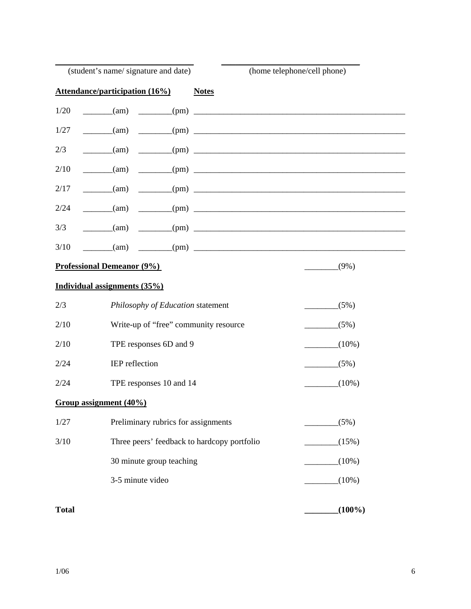|                                              | (student's name/signature and date)   |                                             | (home telephone/cell phone)                                         |  |
|----------------------------------------------|---------------------------------------|---------------------------------------------|---------------------------------------------------------------------|--|
|                                              | <b>Attendance/participation (16%)</b> | <b>Notes</b>                                |                                                                     |  |
| 1/20                                         |                                       |                                             | $\frac{(\text{am})}{(\text{am})}$ $\frac{(\text{pm})}{(\text{pm})}$ |  |
| 1/27                                         | $\frac{1}{\text{tan}}$                |                                             |                                                                     |  |
| 2/3                                          | $\frac{1}{2}$ (am)                    |                                             | $\frac{1}{2}$ (pm)                                                  |  |
| 2/10                                         | $\frac{1}{2}$ (am)                    |                                             | $-$ (pm) $-$                                                        |  |
| 2/17                                         | $\frac{1}{\text{tan}}$                |                                             | $\frac{1}{2}$ (pm)                                                  |  |
| 2/24                                         | $\frac{1}{2}$ (am)                    |                                             | $\frac{1}{2}$ (pm) $\frac{1}{2}$ (pm)                               |  |
| 3/3                                          |                                       |                                             | $\qquad \qquad \text{(am)} \qquad \qquad \text{(pm)}$               |  |
| 3/10                                         |                                       |                                             | $\qquad \qquad \text{(am)} \qquad \qquad \text{(pm)}$               |  |
| <b>Professional Demeanor (9%)</b><br>$(9\%)$ |                                       |                                             |                                                                     |  |
|                                              | Individual assignments (35%)          |                                             |                                                                     |  |
| 2/3                                          |                                       | Philosophy of Education statement           | (5%)                                                                |  |
| 2/10                                         |                                       | Write-up of "free" community resource       | (5%)                                                                |  |
| 2/10                                         |                                       | TPE responses 6D and 9                      | $(10\%)$<br>$\mathcal{L} = \{ \mathcal{L} \in \mathcal{L} \}$ .     |  |
| 2/24                                         | IEP reflection                        |                                             | $(5\%)$                                                             |  |
| 2/24                                         |                                       | TPE responses 10 and 14                     | $(10\%)$                                                            |  |
| Group assignment (40%)                       |                                       |                                             |                                                                     |  |
| 1/27                                         |                                       | Preliminary rubrics for assignments         | (5%)                                                                |  |
| 3/10                                         |                                       | Three peers' feedback to hardcopy portfolio | (15%)                                                               |  |
|                                              |                                       | 30 minute group teaching                    | $(10\%)$                                                            |  |
|                                              | 3-5 minute video                      |                                             | $(10\%)$                                                            |  |
| <b>Total</b>                                 |                                       |                                             | $(100\%)$                                                           |  |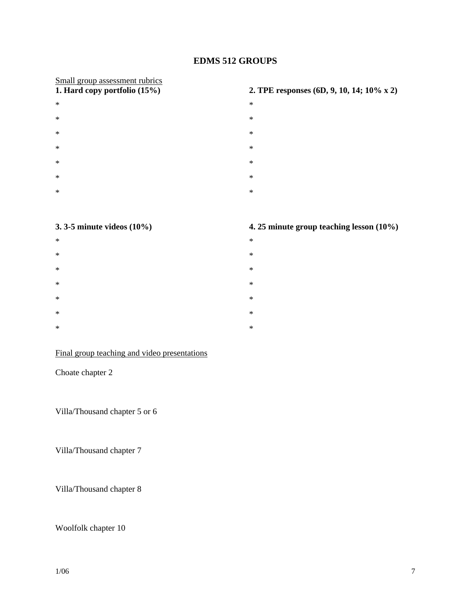# **EDMS 512 GROUPS**

# Small group assessment rubrics<br>1. Hard copy portfolio (15%)

- $*$   $*$  $*$   $*$  $*$   $*$
- $*$   $*$
- $*$   $*$
- $*$   $*$
- $*$   $*$

# **1. Hard copy portfolio (15%) 2. TPE responses (6D, 9, 10, 14; 10% x 2)**

- 
- 
- 
- 
- 
- 
- 
- 

# **3. 3-5 minute videos (10%) 4. 25 minute group teaching lesson (10%)**

- $*$   $*$  $*$   $*$  $*$   $*$  $*$   $*$
- $*$   $*$
- $*$   $*$
- $*$   $*$

# Final group teaching and video presentations

# Choate chapter 2

Villa/Thousand chapter 5 or 6

Villa/Thousand chapter 7

Villa/Thousand chapter 8

# Woolfolk chapter 10

# $1/06$   $7$

- 
- 
- 
- 
- 
- 
- 
-